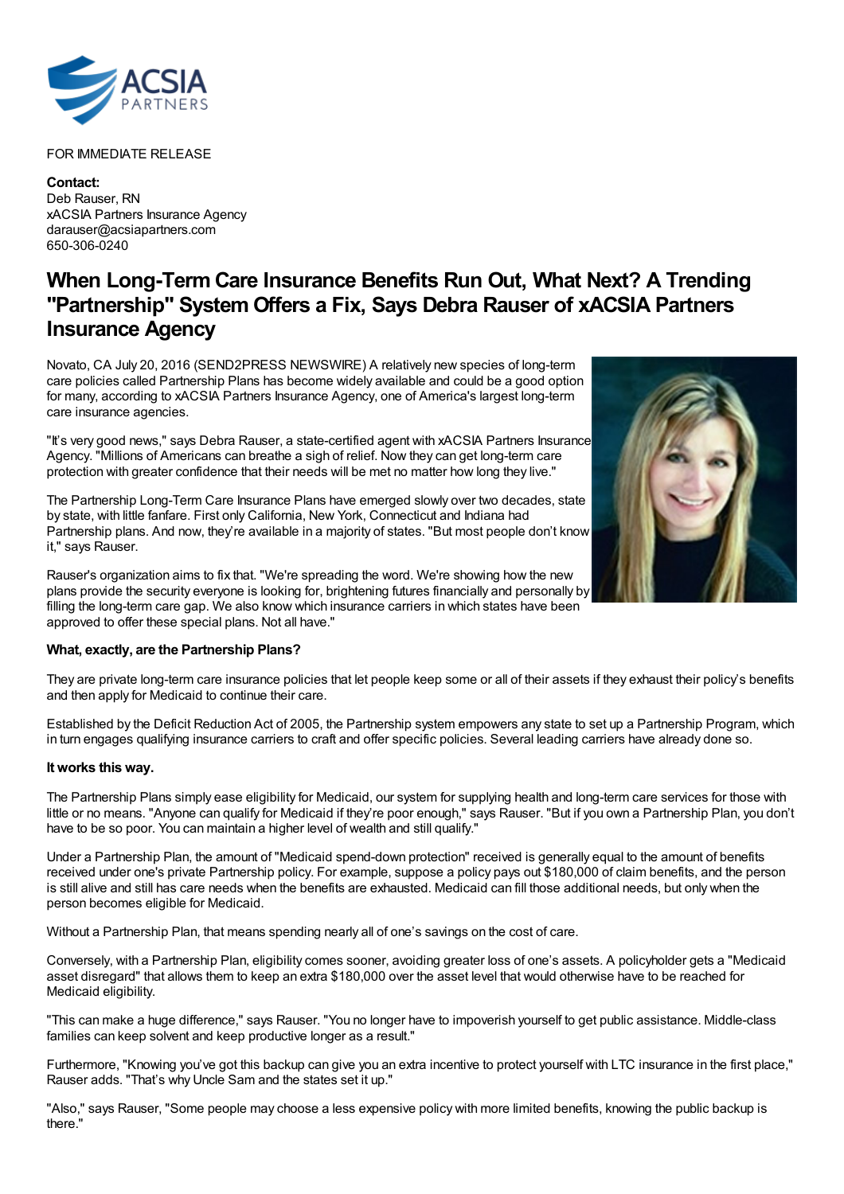

## FOR IMMEDIATE RELEASE

**Contact:** Deb Rauser, RN xACSIA Partners Insurance Agency darauser@acsiapartners.com 650-306-0240

## **When Long-Term Care Insurance Benefits Run Out, What Next? A Trending "Partnership" System Offers a Fix, Says Debra Rauser of xACSIA Partners Insurance Agency**

Novato, CA July 20, 2016 (SEND2PRESS NEWSWIRE) A relatively new species of long-term care policies called Partnership Plans has become widely available and could be a good option for many, according to xACSIA Partners Insurance Agency, one of America's largest long-term care insurance agencies.

"It's very good news," says Debra Rauser, a state-certified agent with xACSIA Partners Insurance Agency. "Millions of Americans can breathe a sigh of relief. Now they can get long-term care protection with greater confidence that their needs will be met no matter how long they live."

The Partnership Long-Term Care Insurance Plans have emerged slowly over two decades, state by state, with little fanfare. First only California, New York, Connecticut and Indiana had Partnership plans. And now, they're available in a majority of states. "But most people don't know it," says Rauser.

Rauser's organization aims to fix that. "We're spreading the word. We're showing how the new plans provide the security everyone is looking for, brightening futures financially and personally by filling the long-term care gap. We also know which insurance carriers in which states have been approved to offer these special plans. Not all have."

## **What, exactly, are the Partnership Plans?**

They are private long-term care insurance policies that let people keep some or all of their assets if they exhaust their policy's benefits and then apply for Medicaid to continue their care.

Established by the Deficit Reduction Act of 2005, the Partnership system empowers any state to set up a Partnership Program, which in turn engages qualifying insurance carriers to craft and offer specific policies. Several leading carriers have already done so.

## **It works this way.**

The Partnership Plans simply ease eligibility for Medicaid, our system for supplying health and long-term care services for those with little or no means. "Anyone can qualify for Medicaid if they're poor enough," says Rauser. "But if you own a Partnership Plan, you don't have to be so poor. You can maintain a higher level of wealth and still qualify."

Under a Partnership Plan, the amount of "Medicaid spend-down protection" received is generally equal to the amount of benefits received under one's private Partnership policy. For example, suppose a policy pays out \$180,000 of claim benefits, and the person is still alive and still has care needs when the benefits are exhausted. Medicaid can fill those additional needs, but only when the person becomes eligible for Medicaid.

Without a Partnership Plan, that means spending nearly all of one's savings on the cost of care.

Conversely, with a Partnership Plan, eligibility comes sooner, avoiding greater loss of one's assets. A policyholder gets a "Medicaid asset disregard" that allows them to keep an extra \$180,000 over the asset level that would otherwise have to be reached for Medicaid eligibility.

"This can make a huge difference," says Rauser. "You no longer have to impoverish yourself to get public assistance. Middle-class families can keep solvent and keep productive longer as a result."

Furthermore, "Knowing you've got this backup can give you an extra incentive to protect yourself with LTC insurance in the first place," Rauser adds. "That's why Uncle Sam and the states set it up."

"Also," says Rauser, "Some people may choose a less expensive policy with more limited benefits, knowing the public backup is there."